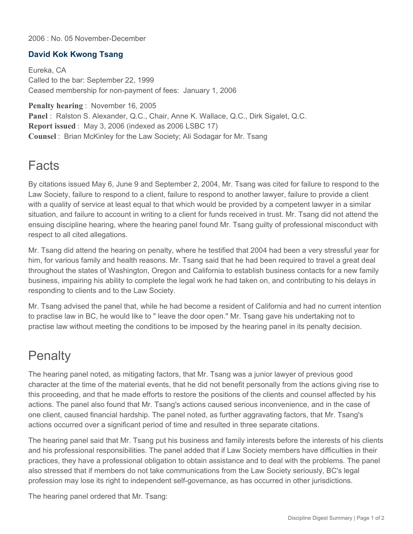2006 : No. 05 November-December

## **David Kok Kwong Tsang**

Eureka, CA Called to the bar: September 22, 1999 Ceased membership for non-payment of fees: January 1, 2006

**Penalty hearing** : November 16, 2005 **Panel** : Ralston S. Alexander, Q.C., Chair, Anne K. Wallace, Q.C., Dirk Sigalet, Q.C. **Report issued** : May 3, 2006 (indexed as 2006 LSBC 17) **Counsel** : Brian McKinley for the Law Society; Ali Sodagar for Mr. Tsang

## **Facts**

By citations issued May 6, June 9 and September 2, 2004, Mr. Tsang was cited for failure to respond to the Law Society, failure to respond to a client, failure to respond to another lawyer, failure to provide a client with a quality of service at least equal to that which would be provided by a competent lawyer in a similar situation, and failure to account in writing to a client for funds received in trust. Mr. Tsang did not attend the ensuing discipline hearing, where the hearing panel found Mr. Tsang guilty of professional misconduct with respect to all cited allegations.

Mr. Tsang did attend the hearing on penalty, where he testified that 2004 had been a very stressful year for him, for various family and health reasons. Mr. Tsang said that he had been required to travel a great deal throughout the states of Washington, Oregon and California to establish business contacts for a new family business, impairing his ability to complete the legal work he had taken on, and contributing to his delays in responding to clients and to the Law Society.

Mr. Tsang advised the panel that, while he had become a resident of California and had no current intention to practise law in BC, he would like to " leave the door open." Mr. Tsang gave his undertaking not to practise law without meeting the conditions to be imposed by the hearing panel in its penalty decision.

## **Penalty**

The hearing panel noted, as mitigating factors, that Mr. Tsang was a junior lawyer of previous good character at the time of the material events, that he did not benefit personally from the actions giving rise to this proceeding, and that he made efforts to restore the positions of the clients and counsel affected by his actions. The panel also found that Mr. Tsang's actions caused serious inconvenience, and in the case of one client, caused financial hardship. The panel noted, as further aggravating factors, that Mr. Tsang's actions occurred over a significant period of time and resulted in three separate citations.

The hearing panel said that Mr. Tsang put his business and family interests before the interests of his clients and his professional responsibilities. The panel added that if Law Society members have difficulties in their practices, they have a professional obligation to obtain assistance and to deal with the problems. The panel also stressed that if members do not take communications from the Law Society seriously, BC's legal profession may lose its right to independent self-governance, as has occurred in other jurisdictions.

The hearing panel ordered that Mr. Tsang: